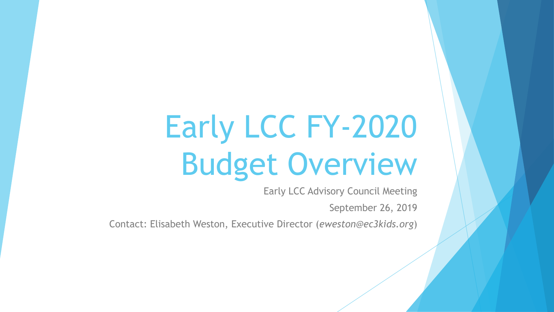# Early LCC FY-2020 Budget Overview

Early LCC Advisory Council Meeting

September 26, 2019

Contact: Elisabeth Weston, Executive Director (*eweston@ec3kids.org*)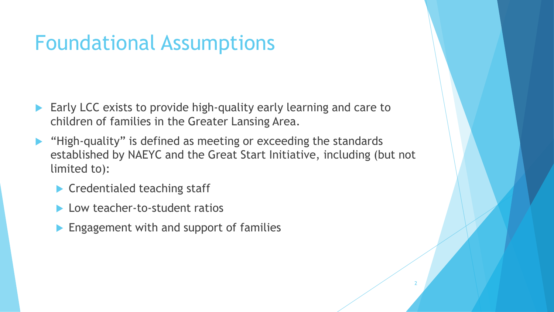#### Foundational Assumptions

- Early LCC exists to provide high-quality early learning and care to children of families in the Greater Lansing Area.
- "High-quality" is defined as meeting or exceeding the standards established by NAEYC and the Great Start Initiative, including (but not limited to):

- ▶ Credentialed teaching staff
- **Low teacher-to-student ratios**
- **Engagement with and support of families**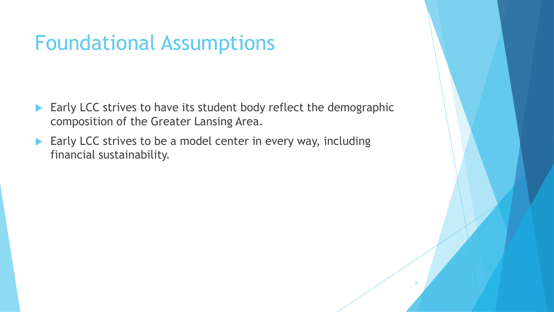#### Foundational Assumptions

Early LCC strives to have its student body reflect the demographic composition of the Greater Lansing Area.

3

Early LCC strives to be a model center in every way, including financial sustainability.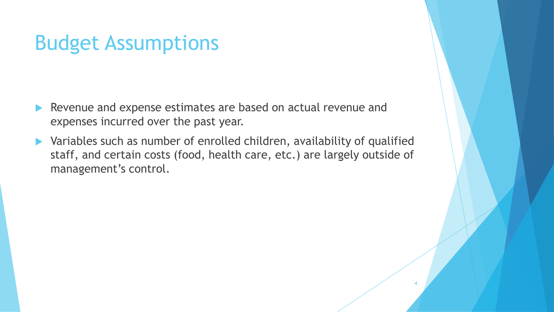#### Budget Assumptions

- Revenue and expense estimates are based on actual revenue and expenses incurred over the past year.
- Variables such as number of enrolled children, availability of qualified staff, and certain costs (food, health care, etc.) are largely outside of management's control.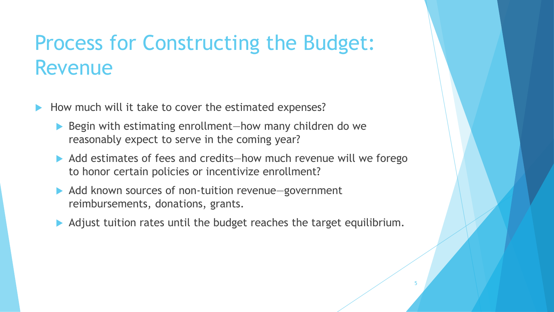### Process for Constructing the Budget: Revenue

- How much will it take to cover the estimated expenses?
	- ▶ Begin with estimating enrollment—how many children do we reasonably expect to serve in the coming year?
	- Add estimates of fees and credits—how much revenue will we forego to honor certain policies or incentivize enrollment?
	- Add known sources of non-tuition revenue—government reimbursements, donations, grants.
	- Adjust tuition rates until the budget reaches the target equilibrium.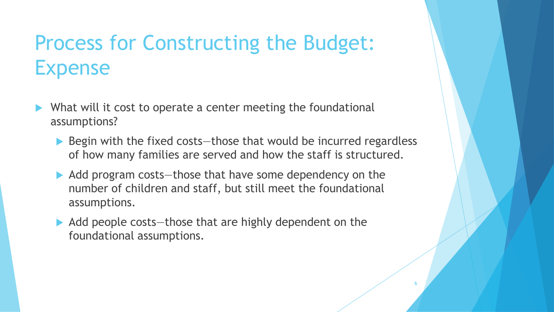## Process for Constructing the Budget: Expense

- What will it cost to operate a center meeting the foundational assumptions?
	- $\blacktriangleright$  Begin with the fixed costs—those that would be incurred regardless of how many families are served and how the staff is structured.

- Add program costs—those that have some dependency on the number of children and staff, but still meet the foundational assumptions.
- Add people costs—those that are highly dependent on the foundational assumptions.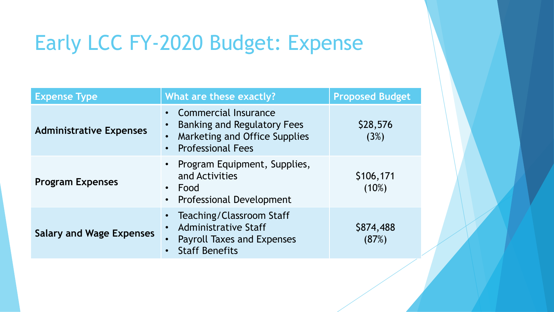# Early LCC FY-2020 Budget: Expense

| <b>Expense Type</b>             | What are these exactly?                                                                                                                                               | <b>Proposed Budget</b> |
|---------------------------------|-----------------------------------------------------------------------------------------------------------------------------------------------------------------------|------------------------|
| <b>Administrative Expenses</b>  | <b>Commercial Insurance</b><br>$\bullet$<br><b>Banking and Regulatory Fees</b><br>Marketing and Office Supplies<br>$\bullet$<br><b>Professional Fees</b><br>$\bullet$ | \$28,576<br>(3%)       |
| <b>Program Expenses</b>         | • Program Equipment, Supplies,<br>and Activities<br>Food<br>$\bullet$<br><b>Professional Development</b><br>$\bullet$                                                 | \$106,171<br>$(10\%)$  |
| <b>Salary and Wage Expenses</b> | Teaching/Classroom Staff<br>$\bullet$<br><b>Administrative Staff</b><br>$\bullet$<br><b>Payroll Taxes and Expenses</b><br>$\bullet$<br><b>Staff Benefits</b>          | \$874,488<br>(87%)     |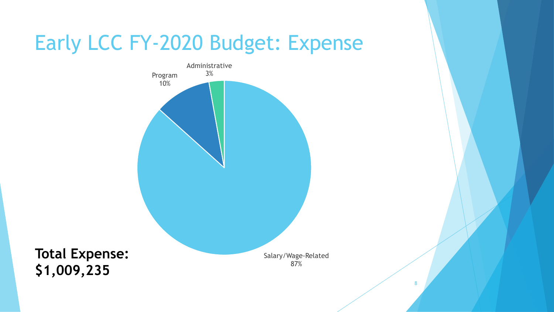### Early LCC FY-2020 Budget: Expense



**Total Expense: \$1,009,235**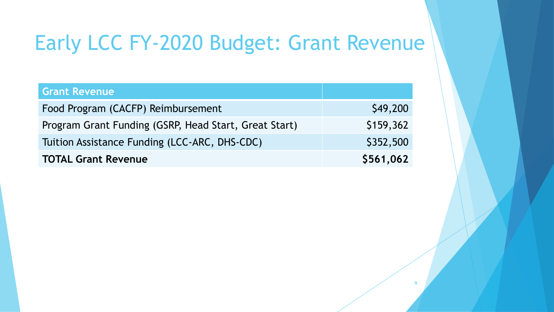# Early LCC FY-2020 Budget: Grant Revenue

| <b>Grant Revenue</b>                                  |           |
|-------------------------------------------------------|-----------|
| Food Program (CACFP) Reimbursement                    | \$49,200  |
| Program Grant Funding (GSRP, Head Start, Great Start) | \$159,362 |
| Tuition Assistance Funding (LCC-ARC, DHS-CDC)         | \$352,500 |
| <b>TOTAL Grant Revenue</b>                            | \$561,062 |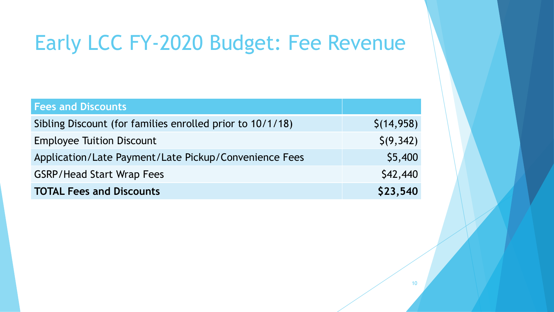# Early LCC FY-2020 Budget: Fee Revenue

| <b>Fees and Discounts</b>                                 |                |
|-----------------------------------------------------------|----------------|
| Sibling Discount (for families enrolled prior to 10/1/18) | \$(14,958)     |
| <b>Employee Tuition Discount</b>                          | $\zeta(9,342)$ |
| Application/Late Payment/Late Pickup/Convenience Fees     | \$5,400        |
| <b>GSRP/Head Start Wrap Fees</b>                          | \$42,440       |
| <b>TOTAL Fees and Discounts</b>                           | \$23,540       |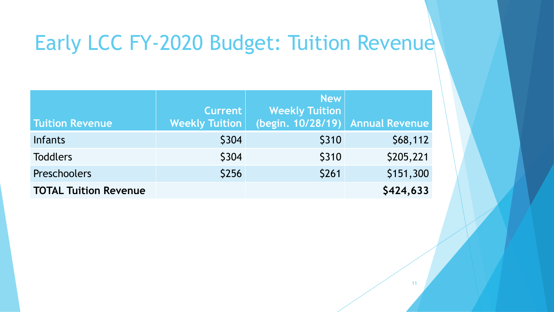# Early LCC FY-2020 Budget: Tuition Revenue

|                              |                       | <b>New</b>                       |           |
|------------------------------|-----------------------|----------------------------------|-----------|
|                              | <b>Current</b>        | <b>Weekly Tuition</b>            |           |
| <b>Tuition Revenue</b>       | <b>Weekly Tuition</b> | (begin. 10/28/19) Annual Revenue |           |
| <b>Infants</b>               | \$304                 | \$310                            | \$68,112  |
| <b>Toddlers</b>              | \$304                 | \$310                            | \$205,221 |
| Preschoolers                 | \$256                 | \$261                            | \$151,300 |
| <b>TOTAL Tuition Revenue</b> |                       |                                  | \$424,633 |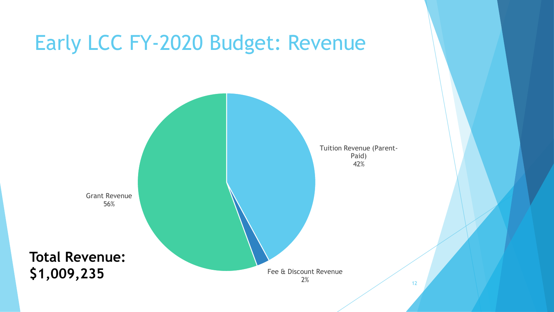## Early LCC FY-2020 Budget: Revenue

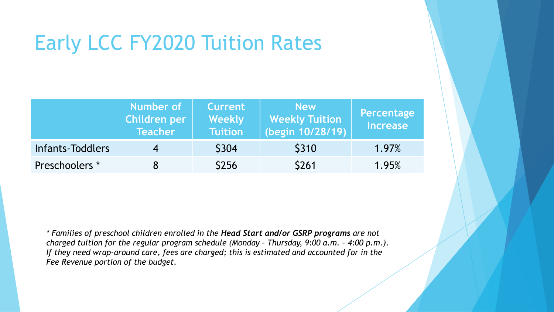# Early LCC FY2020 Tuition Rates

|                  | Number of<br>Children per<br><b>Teacher</b> | <b>Current</b><br>Weekly<br><b>Tuition</b> | <b>New</b><br><b>Weekly Tuition</b><br>(begin 10/28/19) | Percentage<br><b>Increase</b> |
|------------------|---------------------------------------------|--------------------------------------------|---------------------------------------------------------|-------------------------------|
| Infants-Toddlers |                                             | <b>\$304</b>                               | <b>\$310</b>                                            | 1.97%                         |
| Preschoolers *   |                                             | <b>S256</b>                                | <b>\$261</b>                                            | 1.95%                         |

*\* Families of preschool children enrolled in the Head Start and/or GSRP programs are not charged tuition for the regular program schedule (Monday - Thursday, 9:00 a.m. - 4:00 p.m.). If they need wrap-around care, fees are charged; this is estimated and accounted for in the Fee Revenue portion of the budget.*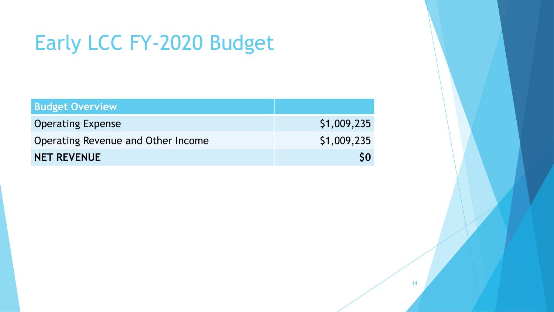# Early LCC FY-2020 Budget

| <b>Budget Overview</b>             |             |
|------------------------------------|-------------|
| <b>Operating Expense</b>           | \$1,009,235 |
| Operating Revenue and Other Income | \$1,009,235 |
| <b>NET REVENUE</b>                 | <b>SO</b>   |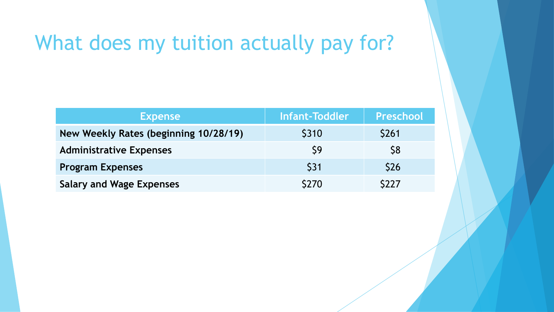### What does my tuition actually pay for?

| <b>Expense</b>                        | <b>Infant-Toddler</b> | <b>Preschool</b> |
|---------------------------------------|-----------------------|------------------|
| New Weekly Rates (beginning 10/28/19) | \$310                 | <b>\$261</b>     |
| <b>Administrative Expenses</b>        | $\mathsf{S}9$         | S <sub>8</sub>   |
| <b>Program Expenses</b>               | <b>\$31</b>           | <b>\$26</b>      |
| <b>Salary and Wage Expenses</b>       | \$270                 | <b>S227</b>      |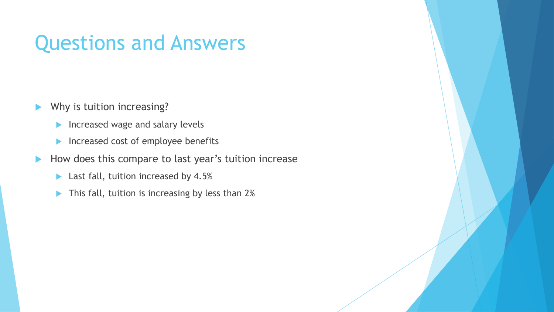#### Questions and Answers

- Why is tuition increasing?
	- $\blacktriangleright$  Increased wage and salary levels
	- Increased cost of employee benefits
- How does this compare to last year's tuition increase
	- **Last fall, tuition increased by 4.5%**
	- This fall, tuition is increasing by less than 2%